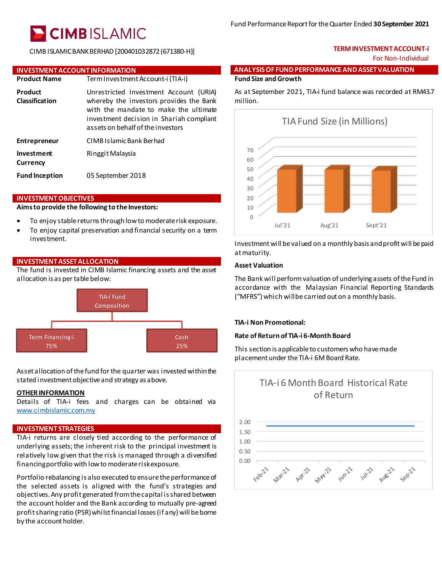# **CIMBISLAMIC**

CIMB ISLAMIC BANK BERHAD [200401032872 (671380-H)]

#### **INVESTMENT ACCOUNT INFORMATION**

| <b>Product Name</b>              | Term Investment Account-i (TIA-i)                                                                                                                                                                           |
|----------------------------------|-------------------------------------------------------------------------------------------------------------------------------------------------------------------------------------------------------------|
| Product<br><b>Classification</b> | Unrestricted Investment Account (URIA)<br>whereby the investors provides the Bank<br>with the mandate to make the ultimate<br>investment decision in Shariah compliant<br>assets on behalf of the investors |
| <b>Entrepreneur</b>              | CIMB Islamic Bank Berhad                                                                                                                                                                                    |
| Investment<br>Currency           | Ringgit Malaysia                                                                                                                                                                                            |
| <b>Fund Inception</b>            | 05 September 2018                                                                                                                                                                                           |

#### **INVESTMENT OBJECTIVES**

#### **Aims to provide the following to the Investors:**

- To enjoy stable returns through low to moderate risk exposure.
- To enjoy capital preservation and financial security on a term investment.

## **INVESTMENT ASSET ALLOCATION**

The fund is invested in CIMB Islamic financing assets and the asset allocation is as per table below:



Asset allocation of the fund for the quarter was invested within the stated investment objective and strategy as above.

## **OTHER INFORMATION**

Details of TIA-i fees and charges can be obtained via [www.cimbislamic.com.my](http://www.cimbislamic.com.my/)

## **INVESTMENT STRATEGIES**

TIA-i returns are closely tied according to the performance of underlying assets; the inherent risk to the principal investment is relatively low given that the risk is managed through a diversified financing portfolio with low to moderate risk exposure.

Portfolio rebalancing is also executed to ensure the performance of the selected assets is aligned with the fund's strategies and objectives. Any profit generated from the capital is shared between the account holder and the Bank according to mutually pre-agreed profit sharing ratio (PSR) whilst financial losses (if any) will be borne by the account holder.

## **TERMINVESTMENTACCOUNT-i** For Non-Individual

### **ANALYSIS OF FUND PERFORMANCE AND ASSET VALUATION Fund Size andGrowth**

As at September 2021, TIA-i fund balance was recorded at RM43.7 million.



Investment will be valued on a monthly basis and profit will be paid at maturity.

## **Asset Valuation**

The Bank will perform valuation of underlying assets of the Fund in accordance with the Malaysian Financial Reporting Standards ("MFRS") which will be carried out on a monthly basis.

### **TIA-i Non Promotional:**

### **Rate of Return of TIA-i 6-Month Board**

This section is applicable to customers who have made placement under the TIA-i 6M Board Rate.



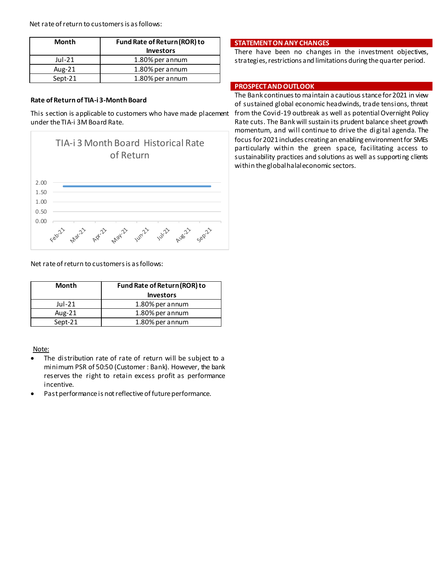Net rate of return to customers is as follows:

| Month     | Fund Rate of Return (ROR) to<br><b>Investors</b> |
|-----------|--------------------------------------------------|
| Jul-21    | 1.80% per annum                                  |
| Aug- $21$ | 1.80% per annum                                  |
| Sept-21   | 1.80% per annum                                  |

### **Rate of Return of TIA-i 3-Month Board**

This section is applicable to customers who have made placement under the TIA-i 3M Board Rate.



**STATEMENT ON ANY CHANGES**

There have been no changes in the investment objectives, strategies, restrictions and limitations during the quarter period.

## **PROSPECT AND OUTLOOK**

The Bank continues to maintain a cautious stance for 2021 in view of sustained global economic headwinds, trade tensions, threat from the Covid-19 outbreak as well as potential Overnight Policy Rate cuts. The Bank will sustain its prudent balance sheet growth momentum, and will continue to drive the di gital agenda. The focus for 2021includes creating an enabling environment for SMEs particularly within the green space, facilitating access to sustainability practices and solutions as well as supporting clients within the global halal economic sectors.

Net rate of return to customers is as follows:

| Month    | Fund Rate of Return (ROR) to<br><b>Investors</b> |
|----------|--------------------------------------------------|
| $Jul-21$ | 1.80% per annum                                  |
| Aug-21   | 1.80% per annum                                  |
| Sept-21  | 1.80% per annum                                  |

## Note:

- The distribution rate of rate of return will be subject to a minimum PSR of 50:50 (Customer : Bank). However, the bank reserves the right to retain excess profit as performance incentive.
- Past performance is not reflective of future performance.